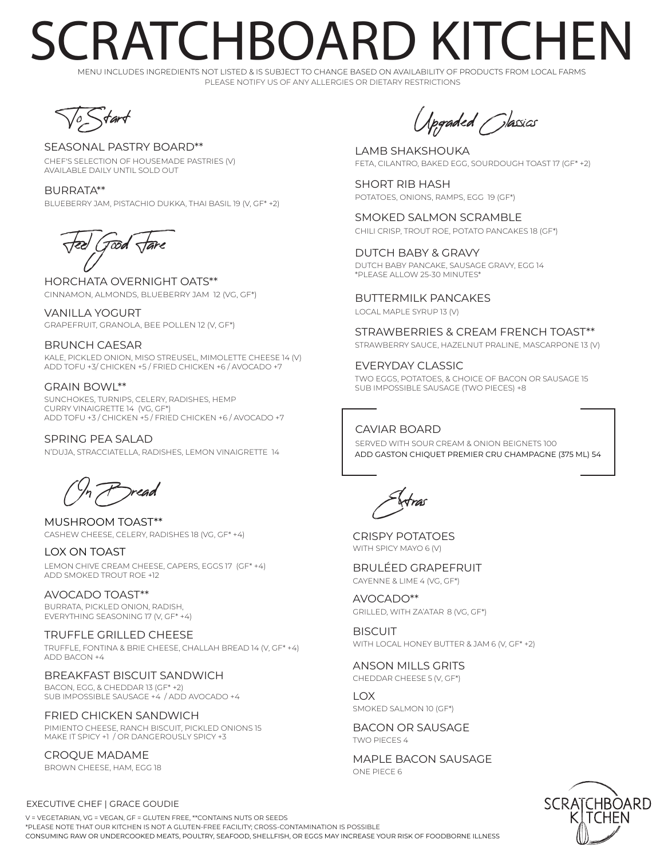### RATCHBOARD KITCHFN

PLEASE NOTIFY US OF ANY ALLERGIES OR DIETARY RESTRICTIONS MENU INCLUDES INGREDIENTS NOT LISTED & IS SUBJECT TO CHANGE BASED ON AVAILABILITY OF PRODUCTS FROM LOCAL FARMS



### SEASONAL PASTRY BOARD\*\*

CHEF'S SELECTION OF HOUSEMADE PASTRIES (V) AVAILABLE DAILY UNTIL SOLD OUT

BURRATA\*\* BLUEBERRY JAM, PISTACHIO DUKKA, THAI BASIL 19 (V, GF\* +2)

Tood

HORCHATA OVERNIGHT OATS\*\* CINNAMON, ALMONDS, BLUEBERRY JAM 12 (VG, GF\*)

VANILLA YOGURT GRAPEFRUIT, GRANOLA, BEE POLLEN 12 (V, GF\*)

#### BRUNCH CAESAR KALE, PICKLED ONION, MISO STREUSEL, MIMOLETTE CHEESE 14 (V)

ADD TOFU +3/ CHICKEN +5 / FRIED CHICKEN +6 / AVOCADO +7

### GRAIN BOWL\*\*

SUNCHOKES, TURNIPS, CELERY, RADISHES, HEMP CURRY VINAIGRETTE 14 (VG, GF\*) ADD TOFU +3 / CHICKEN +5 / FRIED CHICKEN +6 / AVOCADO +7

SPRING PEA SALAD SERVED WITH SOUR CREAM & ONION BEIGNETS 100 N'DUJA, STRACCIATELLA, RADISHES, LEMON VINAIGRETTE 14

On Bread

CASHEW CHEESE, CELERY, RADISHES 18 (VG, GF\* +4) MUSHROOM TOAST\*\*

#### LOX ON TOAST

LEMON CHIVE CREAM CHEESE, CAPERS, EGGS 17 (GF\* +4) ADD SMOKED TROUT ROE +12

AVOCADO TOAST\*\* BURRATA, PICKLED ONION, RADISH, EVERYTHING SEASONING 17 (V, GF\* +4)

#### TRUFFLE GRILLED CHEESE

TRUFFLE, FONTINA & BRIE CHEESE, CHALLAH BREAD 14 (V, GF\* +4)  $ADD BACON + 4$ 

#### BREAKFAST BISCUIT SANDWICH

BACON, EGG, & CHEDDAR 13 (GF\* +2) SUB IMPOSSIBLE SAUSAGE +4 / ADD AVOCADO +4

FRIED CHICKEN SANDWICH PIMIENTO CHEESE, RANCH BISCUIT, PICKLED ONIONS 15 MAKE IT SPICY +1 / OR DANGEROUSLY SPICY +3

CROQUE MADAME BROWN CHEESE, HAM, EGG 18

Upgraded Classics

LAMB SHAKSHOUKA FETA, CILANTRO, BAKED EGG, SOURDOUGH TOAST 17 (GF\* +2)

SHORT RIB HASH POTATOES, ONIONS, RAMPS, EGG 19 (GF\*)

SMOKED SALMON SCRAMBLE CHILI CRISP, TROUT ROE, POTATO PANCAKES 18 (GF\*)

DUTCH BABY & GRAVY DUTCH BABY PANCAKE, SAUSAGE GRAVY, EGG 14 \*PLEASE ALLOW 25-30 MINUTES\*

BUTTERMILK PANCAKES LOCAL MAPLE SYRUP 13 (V)

STRAWBERRIES & CREAM FRENCH TOAST\*\* STRAWBERRY SAUCE, HAZELNUT PRALINE, MASCARPONE 13 (V)

EVERYDAY CLASSIC TWO EGGS, POTATOES, & CHOICE OF BACON OR SAUSAGE 15 SUB IMPOSSIBLE SAUSAGE (TWO PIECES) +8

CAVIAR BOARD ADD GASTON CHIQUET PREMIER CRU CHAMPAGNE (375 ML) 54

Extras

CRISPY POTATOES WITH SPICY MAYO 6 (V)

BRULÉED GRAPEFRUIT CAYENNE & LIME 4 (VG, GF\*)

AVOCADO\*\* GRILLED, WITH ZA'ATAR 8 (VG, GF\*)

**BISCUIT** WITH LOCAL HONEY BUTTER & JAM 6 (V, GF\* +2)

ANSON MILLS GRITS CHEDDAR CHEESE 5 (V, GF\*)

LOX SMOKED SALMON 10 (GF\*)

BACON OR SAUSAGE TWO PIECES 4

MAPLE BACON SAUSAGE ONE PIECE 6



EXECUTIVE CHEF | GRACE GOUDIE

CONSUMING RAW OR UNDERCOOKED MEATS, POULTRY, SEAFOOD, SHELLFISH, OR EGGS MAY INCREASE YOUR RISK OF FOODBORNE ILLNESS  $V = VEGETADIAN$ ,  $VGE = VEGAN$ ,  $GE = GLUTEN$  EDEE, \*\*CONTAINS NUTS OR SEEDS \*PLEASE NOTE THAT OUR KITCHEN IS NOT A GLUTEN-FREE FACILITY; CROSS-CONTAMINATION IS POSSIBLE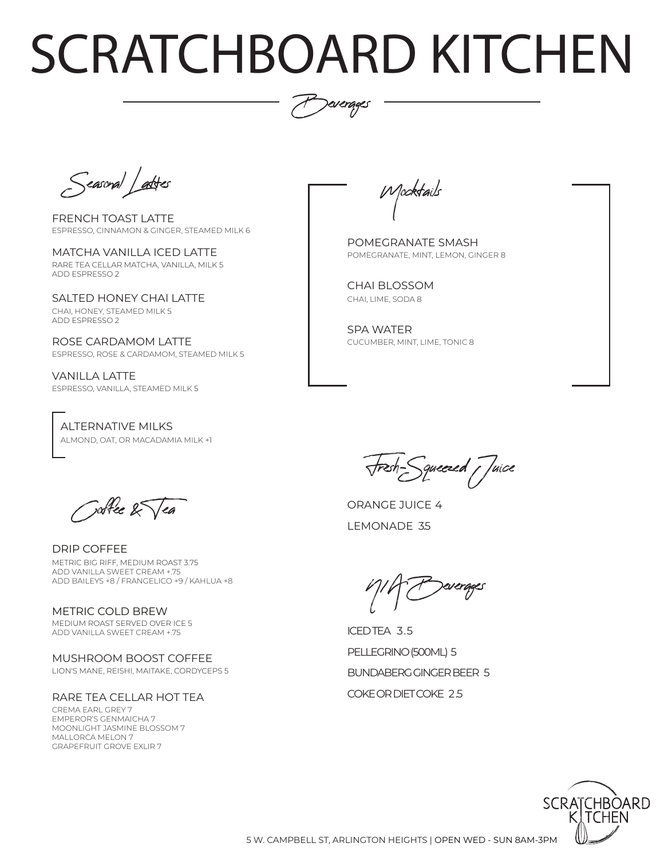# SCRATCHBOARD KITCHEN



Seasonal Lattes

- FRENCH TOAST LATTE ESPRESSO, CINNAMON & GINGER, STEAMED MILK 6
- MATCHA VANILLA ICED LATTE RARE TEA CELLAR MATCHA, VANILLA, MILK 5 ADD ESPRESSO 2

SALTED HONEY CHAI LATTE CHAI, HONEY, STEAMED MILK 5 ADD ESPRESSO 2

ROSE CARDAMOM LATTE ESPRESSO, ROSE & CARDAMOM, STEAMED MILK 5

VANILLA LATTE ESPRESSO, VANILLA, STEAMED MILK 5

ALTERNATIVE MILKS ALMOND, OAT, OR MACADAMIA MILK +1

Mocktails

POMEGRANATE, MINT, LEMON, GINGER 8 POMEGRANATE SMASH

CHAI, LIME, SODA 8 CHAI BLOSSOM

CUCUMBER, MINT, LIME, TONIC 8 SPA WATER

Coffee & Tea

DRIP COFFEE METRIC BIG RIFF, MEDIUM ROAST 3.75 ADD VANILLA SWEET CREAM +.75 ADD BAILEYS +8 / FRANGELICO +9 / KAHLUA +8

METRIC COLD BREW MEDIUM ROAST SERVED OVER ICE 5 ADD VANILLA SWEET CREAM +.75

LION'S MANE, REISHI, MAITAKE, CORDYCEPS 5 MUSHROOM BOOST COFFEE

#### RARE TEA CELLAR HOT TEA

CREMA EARL GREY 7 EMPEROR'S GENMAICHA 7 MOONLIGHT JASMINE BLOSSOM 7 MALLORCA MELON 7 GRAPEFRUIT GROVE EXLIR 7

Fresh-Squeezed Juice

ORANGE JUICE 4 LEMONADE 35

N/A Beverages

COKE OR DIET COKE 2.5 ICED TEA 3.5 PELLEGRINO (500ML) 5 BUNDABERG GINGER BEER 5